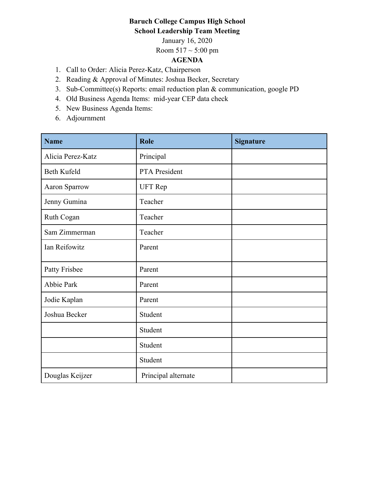## **Baruch College Campus High School School Leadership Team Meeting**

January 16, 2020

Room  $517 \sim 5:00 \text{ pm}$ 

## **AGENDA**

- 1. Call to Order: Alicia Perez-Katz, Chairperson
- 2. Reading & Approval of Minutes: Joshua Becker, Secretary
- 3. Sub-Committee(s) Reports: email reduction plan & communication, google PD
- 4. Old Business Agenda Items: mid-year CEP data check
- 5. New Business Agenda Items:
- 6. Adjournment

| <b>Name</b>       | Role                | <b>Signature</b> |
|-------------------|---------------------|------------------|
| Alicia Perez-Katz | Principal           |                  |
| Beth Kufeld       | PTA President       |                  |
| Aaron Sparrow     | <b>UFT</b> Rep      |                  |
| Jenny Gumina      | Teacher             |                  |
| Ruth Cogan        | Teacher             |                  |
| Sam Zimmerman     | Teacher             |                  |
| Ian Reifowitz     | Parent              |                  |
| Patty Frisbee     | Parent              |                  |
| Abbie Park        | Parent              |                  |
| Jodie Kaplan      | Parent              |                  |
| Joshua Becker     | Student             |                  |
|                   | Student             |                  |
|                   | Student             |                  |
|                   | Student             |                  |
| Douglas Keijzer   | Principal alternate |                  |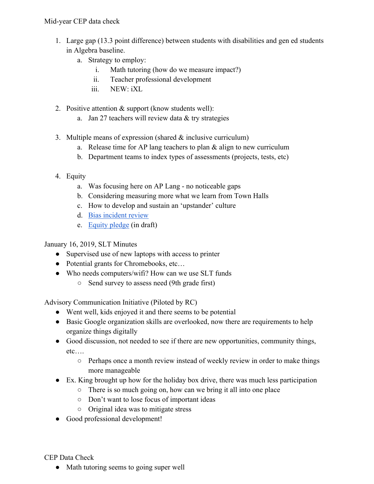- 1. Large gap (13.3 point difference) between students with disabilities and gen ed students in Algebra baseline.
	- a. Strategy to employ:
		- i. Math tutoring (how do we measure impact?)
		- ii. Teacher professional development
		- iii. NEW: iXL
- 2. Positive attention & support (know students well):
	- a. Jan 27 teachers will review data & try strategies
- 3. Multiple means of expression (shared & inclusive curriculum)
	- a. Release time for AP lang teachers to plan  $&$  align to new curriculum
	- b. Department teams to index types of assessments (projects, tests, etc)
- 4. Equity
	- a. Was focusing here on AP Lang no noticeable gaps
	- b. Considering measuring more what we learn from Town Halls
	- c. How to develop and sustain an 'upstander' culture
	- d. Bias incident review
	- e. Equity pledge (in draft)

January 16, 2019, SLT Minutes

- Supervised use of new laptops with access to printer
- Potential grants for Chromebooks, etc...
- Who needs computers/wifi? How can we use SLT funds
	- Send survey to assess need (9th grade first)

Advisory Communication Initiative (Piloted by RC)

- Went well, kids enjoyed it and there seems to be potential
- Basic Google organization skills are overlooked, now there are requirements to help organize things digitally
- Good discussion, not needed to see if there are new opportunities, community things, etc….
	- Perhaps once a month review instead of weekly review in order to make things more manageable
- Ex. King brought up how for the holiday box drive, there was much less participation
	- There is so much going on, how can we bring it all into one place
	- Don't want to lose focus of important ideas
	- Original idea was to mitigate stress
- Good professional development!

CEP Data Check

• Math tutoring seems to going super well